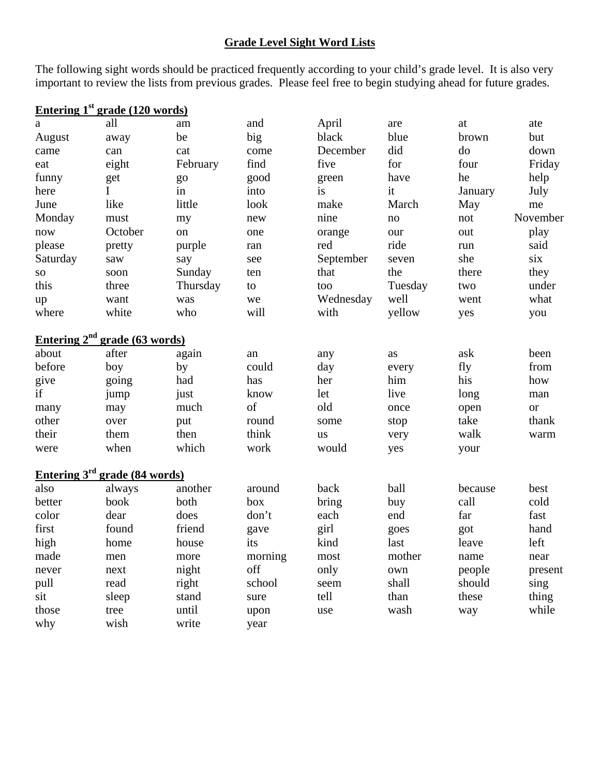## **Grade Level Sight Word Lists**

The following sight words should be practiced frequently according to your child's grade level. It is also very important to review the lists from previous grades. Please feel free to begin studying ahead for future grades.

|            | <u>Entering 1<sup>st</sup> grade (120 words)</u>     |          |         |           |         |         |           |
|------------|------------------------------------------------------|----------|---------|-----------|---------|---------|-----------|
| a          | all                                                  | am       | and     | April     | are     | at      | ate       |
| August     | away                                                 | be       | big     | black     | blue    | brown   | but       |
| came       | can                                                  | cat      | come    | December  | did     | do      | down      |
| eat        | eight                                                | February | find    | five      | for     | four    | Friday    |
| funny      | get                                                  | go       | good    | green     | have    | he      | help      |
| here       | I                                                    | in       | into    | is        | it      | January | July      |
| June       | like                                                 | little   | look    | make      | March   | May     | me        |
| Monday     | must                                                 | my       | new     | nine      | no      | not     | November  |
| now        | October                                              | on       | one     | orange    | our     | out     | play      |
| please     | pretty                                               | purple   | ran     | red       | ride    | run     | said      |
| Saturday   | saw                                                  | say      | see     | September | seven   | she     | six       |
| ${\bf SO}$ | soon                                                 | Sunday   | ten     | that      | the     | there   | they      |
| this       | three                                                | Thursday | to      | too       | Tuesday | two     | under     |
| up         | want                                                 | was      | we      | Wednesday | well    | went    | what      |
| where      | white                                                | who      | will    | with      | yellow  | yes     | you       |
|            | <u>Entering <math>2^{nd}</math> grade (63 words)</u> |          |         |           |         |         |           |
| about      | after                                                | again    | an      | any       | as      | ask     | been      |
| before     | boy                                                  | by       | could   | day       | every   | fly     | from      |
| give       | going                                                | had      | has     | her       | him     | his     | how       |
| if         | jump                                                 | just     | know    | let       | live    | long    | man       |
| many       | may                                                  | much     | of      | old       | once    | open    | <b>or</b> |
| other      | over                                                 | put      | round   | some      | stop    | take    | thank     |
| their      | them                                                 | then     | think   | <b>us</b> | very    | walk    | warm      |
| were       | when                                                 | which    | work    | would     | yes     | your    |           |
|            | <u>Entering <math>3^{rd}</math> grade (84 words)</u> |          |         |           |         |         |           |
| also       | always                                               | another  | around  | back      | ball    | because | best      |
| better     | book                                                 | both     | box     | bring     | buy     | call    | cold      |
| color      | dear                                                 | does     | don't   | each      | end     | far     | fast      |
| first      | found                                                | friend   | gave    | girl      | goes    | got     | hand      |
| high       | home                                                 | house    | its     | kind      | last    | leave   | left      |
| made       | men                                                  | more     | morning | most      | mother  | name    | near      |
| never      | next                                                 | night    | off     | only      | own     | people  | present   |
| pull       | read                                                 | right    | school  | seem      | shall   | should  | sing      |
| sit        | sleep                                                | stand    | sure    | tell      | than    | these   | thing     |
| those      | tree                                                 | until    | upon    | use       | wash    | way     | while     |
| why        | wish                                                 | write    | year    |           |         |         |           |